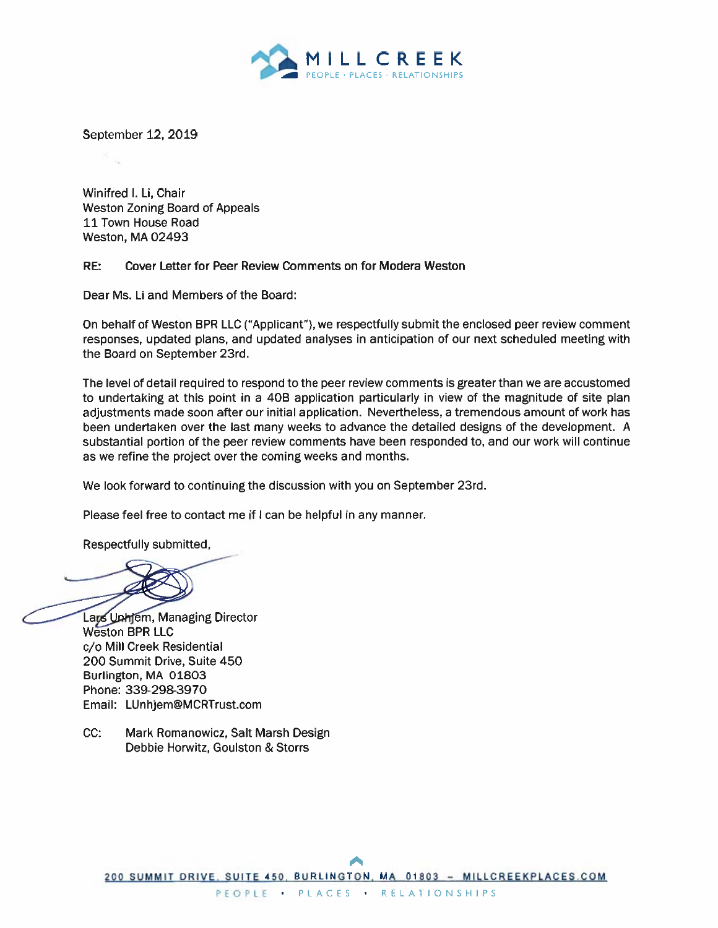

September 12, 2019

Winifred I. Li, Chair **Weston Zoning Board of Appeals** 11 Town House Road Weston, MA 02493

#### RE: Cover Letter for Peer Review Comments on for Modera Weston

Dear Ms. Li and Members of the Board:

On behalf of Weston BPR LLC ("Applicant"), we respectfully submit the enclosed peer review comment responses, updated plans, and updated analyses in anticipation of our next scheduled meeting with the Board on September 23rd.

The level of detail required to respond to the peer review comments is greater than we are accustomed to undertaking at this point in a 40B application particularly in view of the magnitude of site plan adjustments made soon after our initial application. Nevertheless, a tremendous amount of work has been undertaken over the last many weeks to advance the detailed designs of the development. A substantial portion of the peer review comments have been responded to, and our work will continue as we refine the project over the coming weeks and months.

We look forward to continuing the discussion with you on September 23rd.

Please feel free to contact me if I can be helpful in any manner.

Respectfully submitted.

Lays Unhjem, Managing Director **Weston BPR LLC** c/o Mill Creek Residential 200 Summit Drive, Suite 450 Burlington, MA 01803 Phone: 339-298-3970 Email: LUnhjem@MCRTrust.com

 $CC:$ Mark Romanowicz, Salt Marsh Design Debbie Horwitz, Goulston & Storrs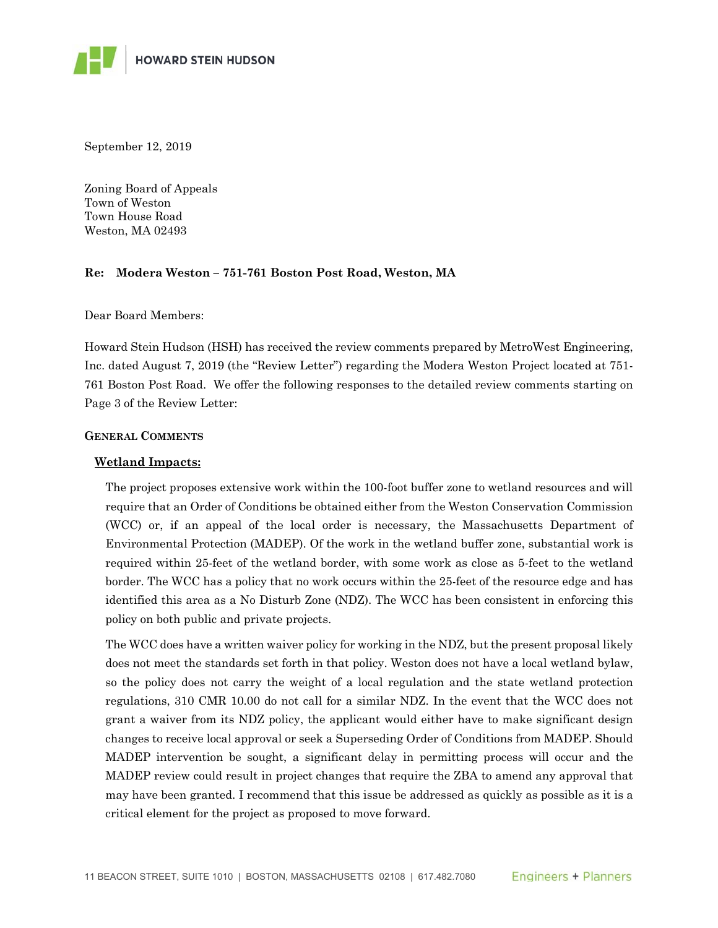September 12, 2019

Zoning Board of Appeals Town of Weston Town House Road Weston, MA 02493

### **Re: Modera Weston – 751-761 Boston Post Road, Weston, MA**

Dear Board Members:

Howard Stein Hudson (HSH) has received the review comments prepared by MetroWest Engineering, Inc. dated August 7, 2019 (the "Review Letter") regarding the Modera Weston Project located at 751- 761 Boston Post Road. We offer the following responses to the detailed review comments starting on Page 3 of the Review Letter:

#### **GENERAL COMMENTS**

### **Wetland Impacts:**

The project proposes extensive work within the 100-foot buffer zone to wetland resources and will require that an Order of Conditions be obtained either from the Weston Conservation Commission (WCC) or, if an appeal of the local order is necessary, the Massachusetts Department of Environmental Protection (MADEP). Of the work in the wetland buffer zone, substantial work is required within 25-feet of the wetland border, with some work as close as 5-feet to the wetland border. The WCC has a policy that no work occurs within the 25-feet of the resource edge and has identified this area as a No Disturb Zone (NDZ). The WCC has been consistent in enforcing this policy on both public and private projects.

The WCC does have a written waiver policy for working in the NDZ, but the present proposal likely does not meet the standards set forth in that policy. Weston does not have a local wetland bylaw, so the policy does not carry the weight of a local regulation and the state wetland protection regulations, 310 CMR 10.00 do not call for a similar NDZ. In the event that the WCC does not grant a waiver from its NDZ policy, the applicant would either have to make significant design changes to receive local approval or seek a Superseding Order of Conditions from MADEP. Should MADEP intervention be sought, a significant delay in permitting process will occur and the MADEP review could result in project changes that require the ZBA to amend any approval that may have been granted. I recommend that this issue be addressed as quickly as possible as it is a critical element for the project as proposed to move forward.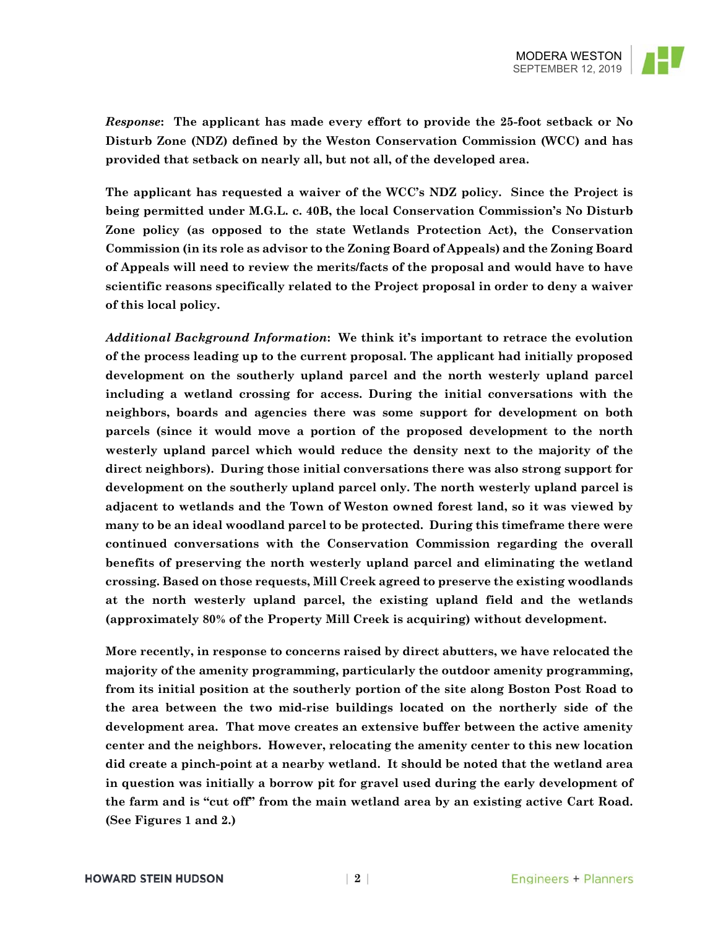

*Response***: The applicant has made every effort to provide the 25-foot setback or No Disturb Zone (NDZ) defined by the Weston Conservation Commission (WCC) and has provided that setback on nearly all, but not all, of the developed area.** 

**The applicant has requested a waiver of the WCC's NDZ policy. Since the Project is being permitted under M.G.L. c. 40B, the local Conservation Commission's No Disturb Zone policy (as opposed to the state Wetlands Protection Act), the Conservation Commission (in its role as advisor to the Zoning Board of Appeals) and the Zoning Board of Appeals will need to review the merits/facts of the proposal and would have to have scientific reasons specifically related to the Project proposal in order to deny a waiver of this local policy.** 

*Additional Background Information***: We think it's important to retrace the evolution of the process leading up to the current proposal. The applicant had initially proposed development on the southerly upland parcel and the north westerly upland parcel including a wetland crossing for access. During the initial conversations with the neighbors, boards and agencies there was some support for development on both parcels (since it would move a portion of the proposed development to the north westerly upland parcel which would reduce the density next to the majority of the direct neighbors). During those initial conversations there was also strong support for development on the southerly upland parcel only. The north westerly upland parcel is adjacent to wetlands and the Town of Weston owned forest land, so it was viewed by many to be an ideal woodland parcel to be protected. During this timeframe there were continued conversations with the Conservation Commission regarding the overall benefits of preserving the north westerly upland parcel and eliminating the wetland crossing. Based on those requests, Mill Creek agreed to preserve the existing woodlands at the north westerly upland parcel, the existing upland field and the wetlands (approximately 80% of the Property Mill Creek is acquiring) without development.** 

**More recently, in response to concerns raised by direct abutters, we have relocated the majority of the amenity programming, particularly the outdoor amenity programming, from its initial position at the southerly portion of the site along Boston Post Road to the area between the two mid-rise buildings located on the northerly side of the development area. That move creates an extensive buffer between the active amenity center and the neighbors. However, relocating the amenity center to this new location did create a pinch-point at a nearby wetland. It should be noted that the wetland area in question was initially a borrow pit for gravel used during the early development of the farm and is "cut off" from the main wetland area by an existing active Cart Road. (See Figures 1 and 2.)**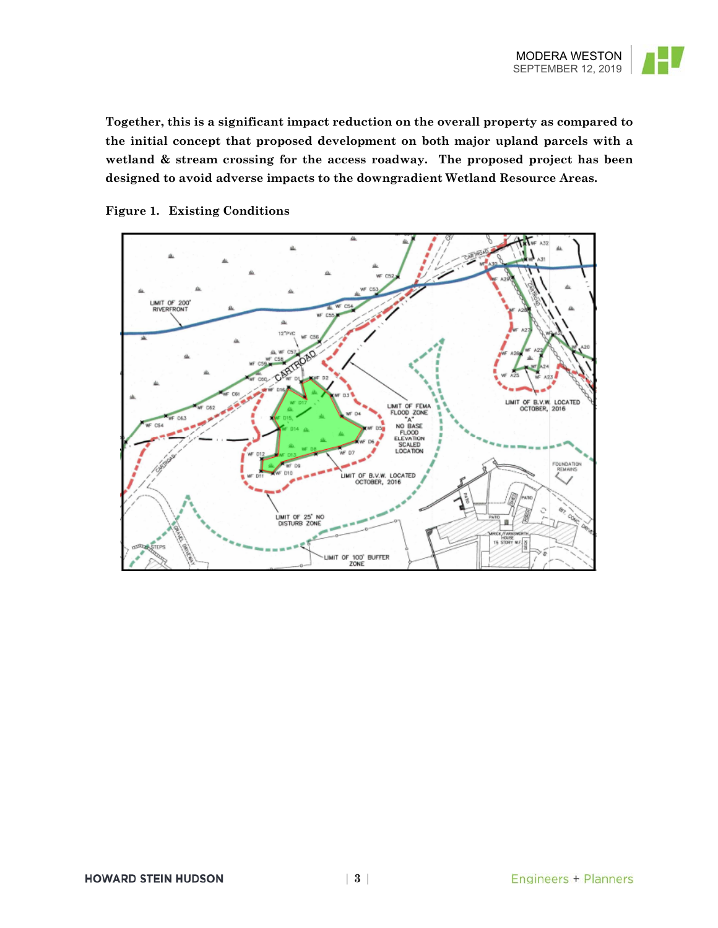

**Together, this is a significant impact reduction on the overall property as compared to the initial concept that proposed development on both major upland parcels with a wetland & stream crossing for the access roadway. The proposed project has been designed to avoid adverse impacts to the downgradient Wetland Resource Areas.** 



### **Figure 1. Existing Conditions**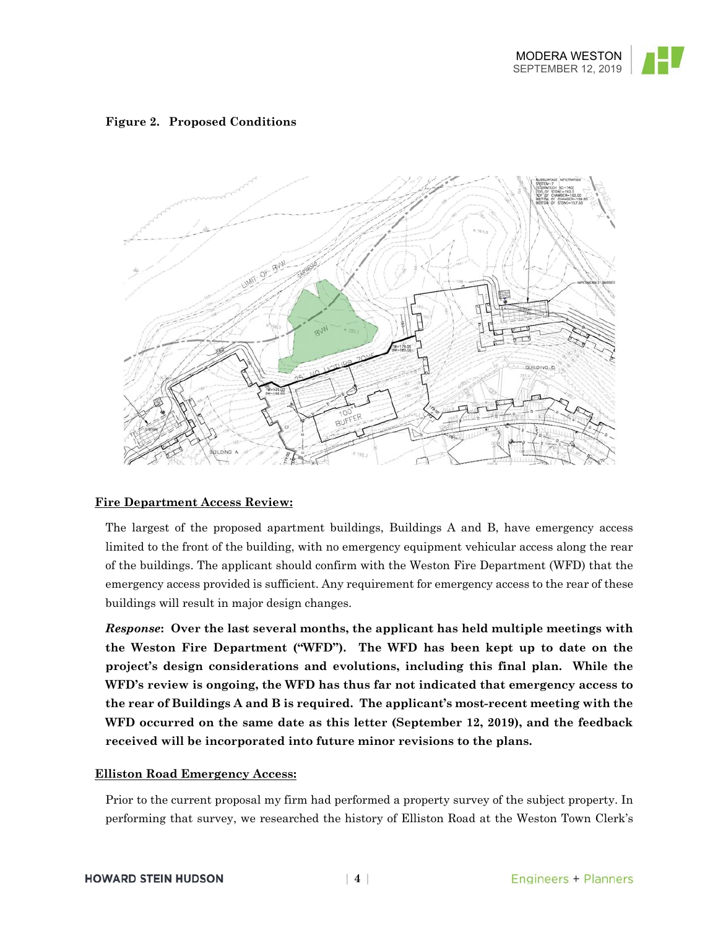

### **Figure 2. Proposed Conditions**



### **Fire Department Access Review:**

The largest of the proposed apartment buildings, Buildings A and B, have emergency access limited to the front of the building, with no emergency equipment vehicular access along the rear of the buildings. The applicant should confirm with the Weston Fire Department (WFD) that the emergency access provided is sufficient. Any requirement for emergency access to the rear of these buildings will result in major design changes.

*Response***: Over the last several months, the applicant has held multiple meetings with the Weston Fire Department ("WFD"). The WFD has been kept up to date on the project's design considerations and evolutions, including this final plan. While the WFD's review is ongoing, the WFD has thus far not indicated that emergency access to the rear of Buildings A and B is required. The applicant's most-recent meeting with the WFD occurred on the same date as this letter (September 12, 2019), and the feedback received will be incorporated into future minor revisions to the plans.** 

### **Elliston Road Emergency Access:**

Prior to the current proposal my firm had performed a property survey of the subject property. In performing that survey, we researched the history of Elliston Road at the Weston Town Clerk's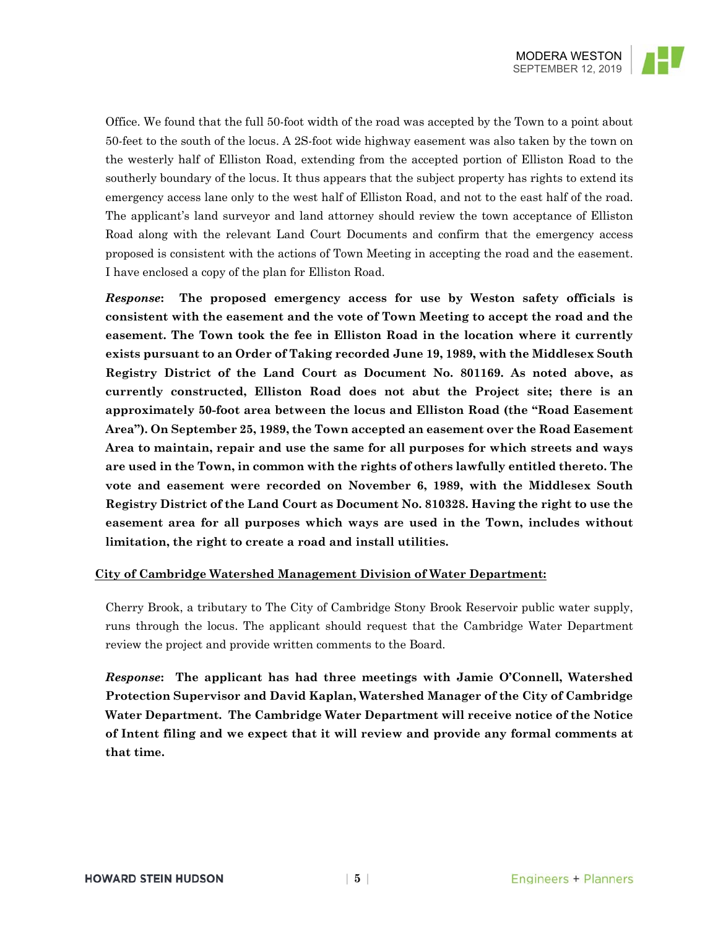

Office. We found that the full 50-foot width of the road was accepted by the Town to a point about 50-feet to the south of the locus. A 2S-foot wide highway easement was also taken by the town on the westerly half of Elliston Road, extending from the accepted portion of Elliston Road to the southerly boundary of the locus. It thus appears that the subject property has rights to extend its emergency access lane only to the west half of Elliston Road, and not to the east half of the road. The applicant's land surveyor and land attorney should review the town acceptance of Elliston Road along with the relevant Land Court Documents and confirm that the emergency access proposed is consistent with the actions of Town Meeting in accepting the road and the easement. I have enclosed a copy of the plan for Elliston Road.

*Response***: The proposed emergency access for use by Weston safety officials is consistent with the easement and the vote of Town Meeting to accept the road and the easement. The Town took the fee in Elliston Road in the location where it currently exists pursuant to an Order of Taking recorded June 19, 1989, with the Middlesex South Registry District of the Land Court as Document No. 801169. As noted above, as currently constructed, Elliston Road does not abut the Project site; there is an approximately 50-foot area between the locus and Elliston Road (the "Road Easement Area"). On September 25, 1989, the Town accepted an easement over the Road Easement Area to maintain, repair and use the same for all purposes for which streets and ways are used in the Town, in common with the rights of others lawfully entitled thereto. The vote and easement were recorded on November 6, 1989, with the Middlesex South Registry District of the Land Court as Document No. 810328. Having the right to use the easement area for all purposes which ways are used in the Town, includes without limitation, the right to create a road and install utilities.**

### **City of Cambridge Watershed Management Division of Water Department:**

Cherry Brook, a tributary to The City of Cambridge Stony Brook Reservoir public water supply, runs through the locus. The applicant should request that the Cambridge Water Department review the project and provide written comments to the Board.

*Response***: The applicant has had three meetings with Jamie O'Connell, Watershed Protection Supervisor and David Kaplan, Watershed Manager of the City of Cambridge Water Department. The Cambridge Water Department will receive notice of the Notice of Intent filing and we expect that it will review and provide any formal comments at that time.**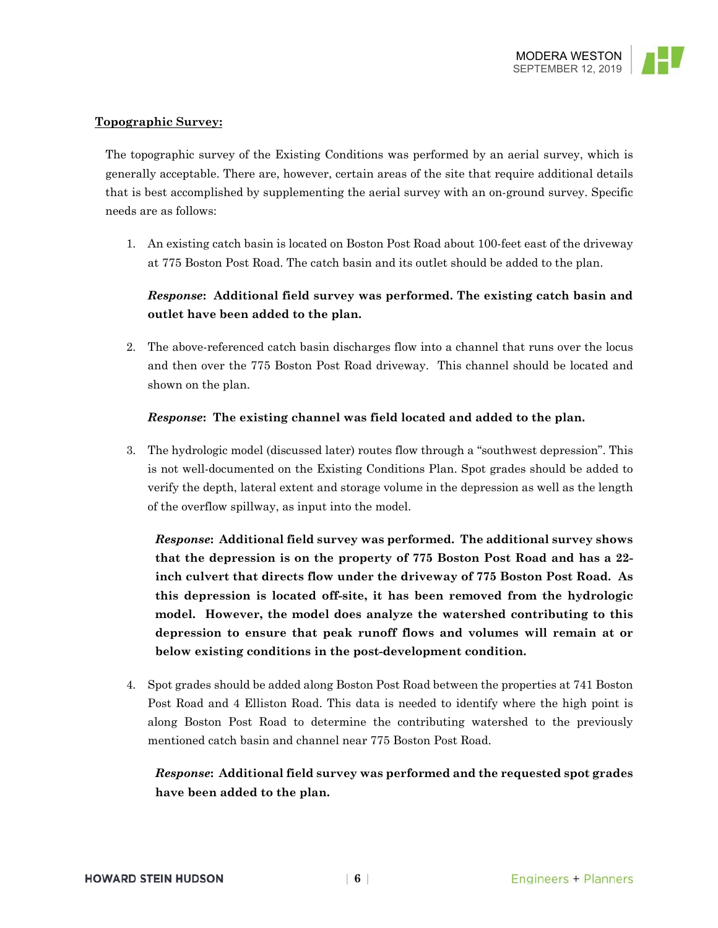### **Topographic Survey:**

The topographic survey of the Existing Conditions was performed by an aerial survey, which is generally acceptable. There are, however, certain areas of the site that require additional details that is best accomplished by supplementing the aerial survey with an on-ground survey. Specific needs are as follows:

1. An existing catch basin is located on Boston Post Road about 100-feet east of the driveway at 775 Boston Post Road. The catch basin and its outlet should be added to the plan.

# *Response***: Additional field survey was performed. The existing catch basin and outlet have been added to the plan.**

2. The above-referenced catch basin discharges flow into a channel that runs over the locus and then over the 775 Boston Post Road driveway. This channel should be located and shown on the plan.

### *Response***: The existing channel was field located and added to the plan.**

3. The hydrologic model (discussed later) routes flow through a "southwest depression". This is not well-documented on the Existing Conditions Plan. Spot grades should be added to verify the depth, lateral extent and storage volume in the depression as well as the length of the overflow spillway, as input into the model.

*Response***: Additional field survey was performed. The additional survey shows that the depression is on the property of 775 Boston Post Road and has a 22 inch culvert that directs flow under the driveway of 775 Boston Post Road. As this depression is located off-site, it has been removed from the hydrologic model. However, the model does analyze the watershed contributing to this depression to ensure that peak runoff flows and volumes will remain at or below existing conditions in the post-development condition.**

4. Spot grades should be added along Boston Post Road between the properties at 741 Boston Post Road and 4 Elliston Road. This data is needed to identify where the high point is along Boston Post Road to determine the contributing watershed to the previously mentioned catch basin and channel near 775 Boston Post Road.

# *Response***: Additional field survey was performed and the requested spot grades have been added to the plan.**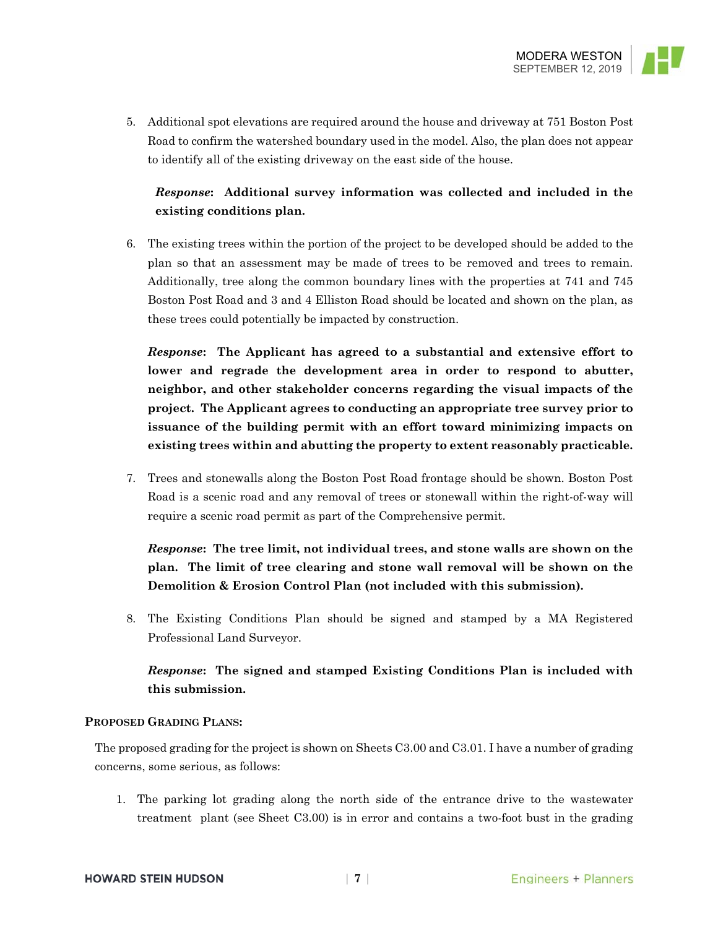

5. Additional spot elevations are required around the house and driveway at 751 Boston Post Road to confirm the watershed boundary used in the model. Also, the plan does not appear to identify all of the existing driveway on the east side of the house.

# *Response***: Additional survey information was collected and included in the existing conditions plan.**

6. The existing trees within the portion of the project to be developed should be added to the plan so that an assessment may be made of trees to be removed and trees to remain. Additionally, tree along the common boundary lines with the properties at 741 and 745 Boston Post Road and 3 and 4 Elliston Road should be located and shown on the plan, as these trees could potentially be impacted by construction.

*Response***: The Applicant has agreed to a substantial and extensive effort to lower and regrade the development area in order to respond to abutter, neighbor, and other stakeholder concerns regarding the visual impacts of the project. The Applicant agrees to conducting an appropriate tree survey prior to issuance of the building permit with an effort toward minimizing impacts on existing trees within and abutting the property to extent reasonably practicable.**

7. Trees and stonewalls along the Boston Post Road frontage should be shown. Boston Post Road is a scenic road and any removal of trees or stonewall within the right-of-way will require a scenic road permit as part of the Comprehensive permit.

*Response***: The tree limit, not individual trees, and stone walls are shown on the plan. The limit of tree clearing and stone wall removal will be shown on the Demolition & Erosion Control Plan (not included with this submission).** 

8. The Existing Conditions Plan should be signed and stamped by a MA Registered Professional Land Surveyor.

# *Response***: The signed and stamped Existing Conditions Plan is included with this submission.**

### **PROPOSED GRADING PLANS:**

The proposed grading for the project is shown on Sheets C3.00 and C3.01. I have a number of grading concerns, some serious, as follows:

1. The parking lot grading along the north side of the entrance drive to the wastewater treatment plant (see Sheet C3.00) is in error and contains a two-foot bust in the grading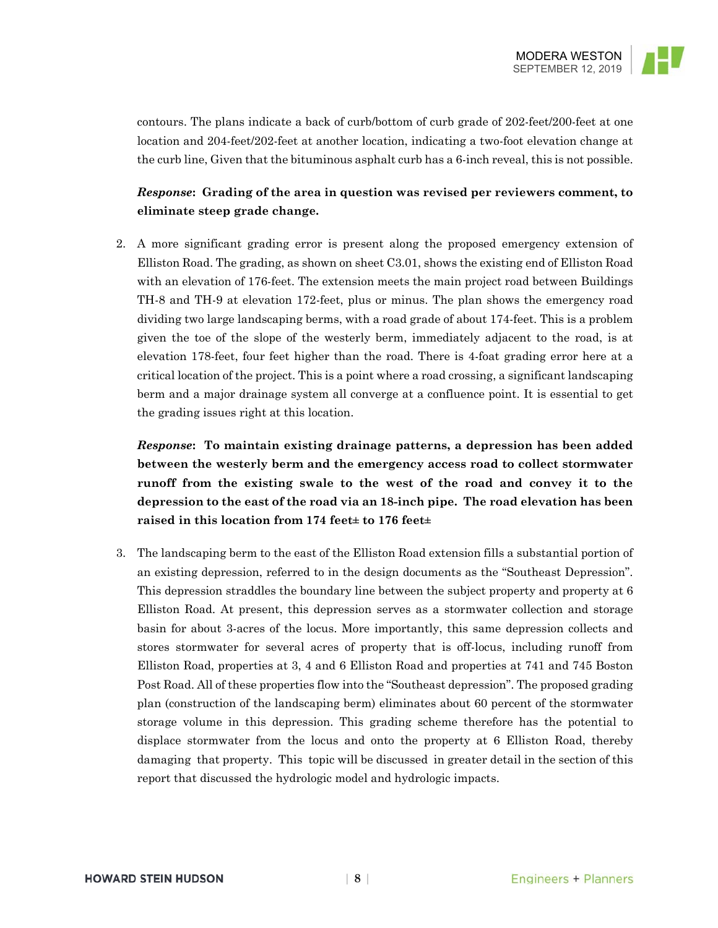

contours. The plans indicate a back of curb/bottom of curb grade of 202-feet/200-feet at one location and 204-feet/202-feet at another location, indicating a two-foot elevation change at the curb line, Given that the bituminous asphalt curb has a 6-inch reveal, this is not possible.

# *Response***: Grading of the area in question was revised per reviewers comment, to eliminate steep grade change.**

2. A more significant grading error is present along the proposed emergency extension of Elliston Road. The grading, as shown on sheet C3.01, shows the existing end of Elliston Road with an elevation of 176-feet. The extension meets the main project road between Buildings TH-8 and TH-9 at elevation 172-feet, plus or minus. The plan shows the emergency road dividing two large landscaping berms, with a road grade of about 174-feet. This is a problem given the toe of the slope of the westerly berm, immediately adjacent to the road, is at elevation 178-feet, four feet higher than the road. There is 4-foat grading error here at a critical location of the project. This is a point where a road crossing, a significant landscaping berm and a major drainage system all converge at a confluence point. It is essential to get the grading issues right at this location.

*Response***: To maintain existing drainage patterns, a depression has been added between the westerly berm and the emergency access road to collect stormwater runoff from the existing swale to the west of the road and convey it to the depression to the east of the road via an 18-inch pipe. The road elevation has been raised in this location from 174 feet± to 176 feet±**

3. The landscaping berm to the east of the Elliston Road extension fills a substantial portion of an existing depression, referred to in the design documents as the "Southeast Depression". This depression straddles the boundary line between the subject property and property at 6 Elliston Road. At present, this depression serves as a stormwater collection and storage basin for about 3-acres of the locus. More importantly, this same depression collects and stores stormwater for several acres of property that is off-locus, including runoff from Elliston Road, properties at 3, 4 and 6 Elliston Road and properties at 741 and 745 Boston Post Road. All of these properties flow into the "Southeast depression". The proposed grading plan (construction of the landscaping berm) eliminates about 60 percent of the stormwater storage volume in this depression. This grading scheme therefore has the potential to displace stormwater from the locus and onto the property at 6 Elliston Road, thereby damaging that property. This topic will be discussed in greater detail in the section of this report that discussed the hydrologic model and hydrologic impacts.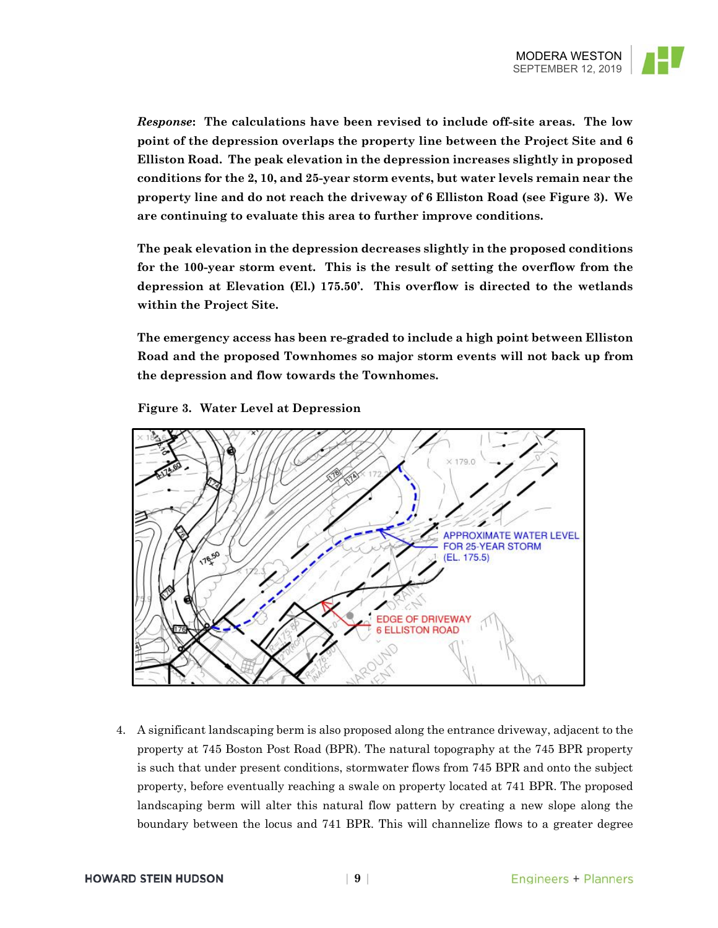

*Response***: The calculations have been revised to include off-site areas. The low point of the depression overlaps the property line between the Project Site and 6 Elliston Road. The peak elevation in the depression increases slightly in proposed conditions for the 2, 10, and 25-year storm events, but water levels remain near the property line and do not reach the driveway of 6 Elliston Road (see Figure 3). We are continuing to evaluate this area to further improve conditions.** 

**The peak elevation in the depression decreases slightly in the proposed conditions for the 100-year storm event. This is the result of setting the overflow from the depression at Elevation (El.) 175.50'. This overflow is directed to the wetlands within the Project Site.** 

**The emergency access has been re-graded to include a high point between Elliston Road and the proposed Townhomes so major storm events will not back up from the depression and flow towards the Townhomes.** 



**Figure 3. Water Level at Depression** 

4. A significant landscaping berm is also proposed along the entrance driveway, adjacent to the property at 745 Boston Post Road (BPR). The natural topography at the 745 BPR property is such that under present conditions, stormwater flows from 745 BPR and onto the subject property, before eventually reaching a swale on property located at 741 BPR. The proposed landscaping berm will alter this natural flow pattern by creating a new slope along the boundary between the locus and 741 BPR. This will channelize flows to a greater degree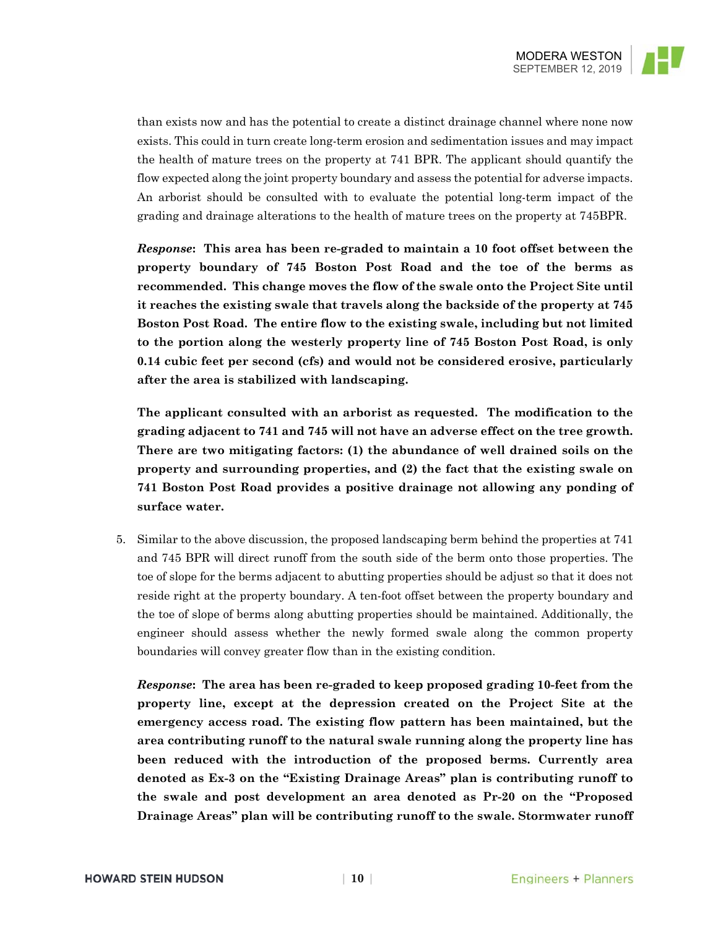

than exists now and has the potential to create a distinct drainage channel where none now exists. This could in turn create long-term erosion and sedimentation issues and may impact the health of mature trees on the property at 741 BPR. The applicant should quantify the flow expected along the joint property boundary and assess the potential for adverse impacts. An arborist should be consulted with to evaluate the potential long-term impact of the grading and drainage alterations to the health of mature trees on the property at 745BPR.

*Response***: This area has been re-graded to maintain a 10 foot offset between the property boundary of 745 Boston Post Road and the toe of the berms as recommended. This change moves the flow of the swale onto the Project Site until it reaches the existing swale that travels along the backside of the property at 745 Boston Post Road. The entire flow to the existing swale, including but not limited to the portion along the westerly property line of 745 Boston Post Road, is only 0.14 cubic feet per second (cfs) and would not be considered erosive, particularly after the area is stabilized with landscaping.** 

**The applicant consulted with an arborist as requested. The modification to the grading adjacent to 741 and 745 will not have an adverse effect on the tree growth. There are two mitigating factors: (1) the abundance of well drained soils on the property and surrounding properties, and (2) the fact that the existing swale on 741 Boston Post Road provides a positive drainage not allowing any ponding of surface water.**

5. Similar to the above discussion, the proposed landscaping berm behind the properties at 741 and 745 BPR will direct runoff from the south side of the berm onto those properties. The toe of slope for the berms adjacent to abutting properties should be adjust so that it does not reside right at the property boundary. A ten-foot offset between the property boundary and the toe of slope of berms along abutting properties should be maintained. Additionally, the engineer should assess whether the newly formed swale along the common property boundaries will convey greater flow than in the existing condition.

*Response***: The area has been re-graded to keep proposed grading 10-feet from the property line, except at the depression created on the Project Site at the emergency access road. The existing flow pattern has been maintained, but the area contributing runoff to the natural swale running along the property line has been reduced with the introduction of the proposed berms. Currently area denoted as Ex-3 on the "Existing Drainage Areas" plan is contributing runoff to the swale and post development an area denoted as Pr-20 on the "Proposed Drainage Areas" plan will be contributing runoff to the swale. Stormwater runoff**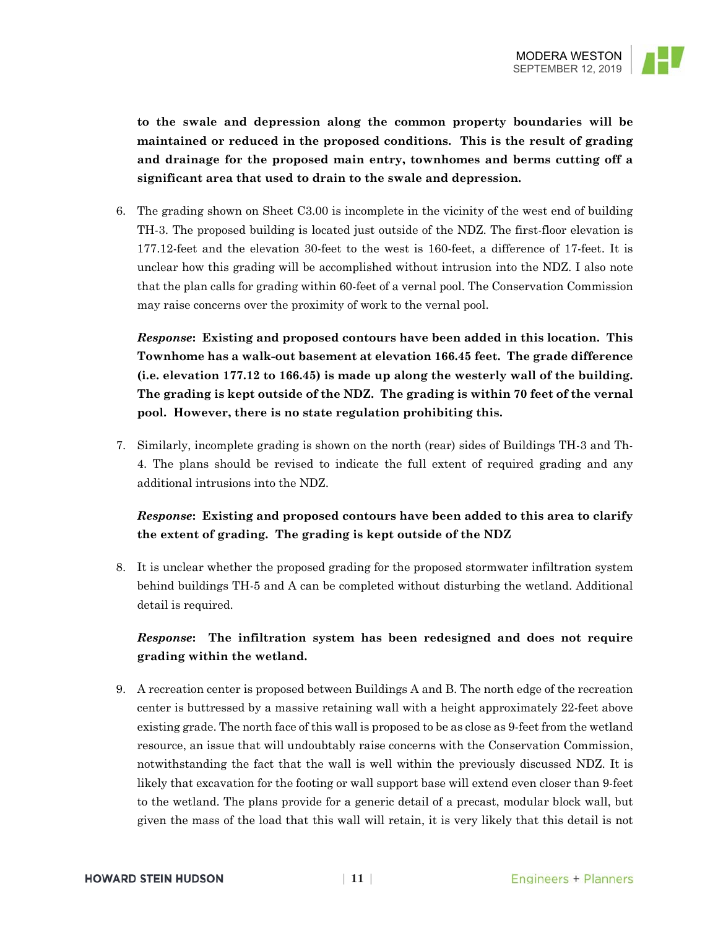

**to the swale and depression along the common property boundaries will be maintained or reduced in the proposed conditions. This is the result of grading and drainage for the proposed main entry, townhomes and berms cutting off a significant area that used to drain to the swale and depression.** 

6. The grading shown on Sheet C3.00 is incomplete in the vicinity of the west end of building TH-3. The proposed building is located just outside of the NDZ. The first-floor elevation is 177.12-feet and the elevation 30-feet to the west is 160-feet, a difference of 17-feet. It is unclear how this grading will be accomplished without intrusion into the NDZ. I also note that the plan calls for grading within 60-feet of a vernal pool. The Conservation Commission may raise concerns over the proximity of work to the vernal pool.

*Response***: Existing and proposed contours have been added in this location. This Townhome has a walk-out basement at elevation 166.45 feet. The grade difference (i.e. elevation 177.12 to 166.45) is made up along the westerly wall of the building. The grading is kept outside of the NDZ. The grading is within 70 feet of the vernal pool. However, there is no state regulation prohibiting this.**

7. Similarly, incomplete grading is shown on the north (rear) sides of Buildings TH-3 and Th-4. The plans should be revised to indicate the full extent of required grading and any additional intrusions into the NDZ.

# *Response***: Existing and proposed contours have been added to this area to clarify the extent of grading. The grading is kept outside of the NDZ**

8. It is unclear whether the proposed grading for the proposed stormwater infiltration system behind buildings TH-5 and A can be completed without disturbing the wetland. Additional detail is required.

# *Response***: The infiltration system has been redesigned and does not require grading within the wetland.**

9. A recreation center is proposed between Buildings A and B. The north edge of the recreation center is buttressed by a massive retaining wall with a height approximately 22-feet above existing grade. The north face of this wall is proposed to be as close as 9-feet from the wetland resource, an issue that will undoubtably raise concerns with the Conservation Commission, notwithstanding the fact that the wall is well within the previously discussed NDZ. It is likely that excavation for the footing or wall support base will extend even closer than 9-feet to the wetland. The plans provide for a generic detail of a precast, modular block wall, but given the mass of the load that this wall will retain, it is very likely that this detail is not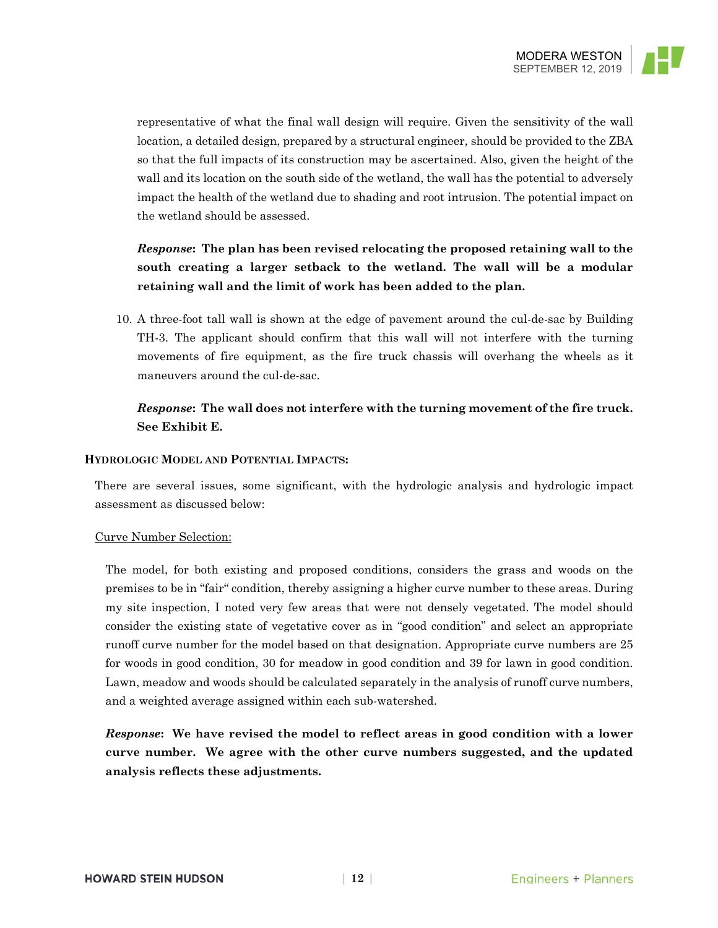

representative of what the final wall design will require. Given the sensitivity of the wall location, a detailed design, prepared by a structural engineer, should be provided to the ZBA so that the full impacts of its construction may be ascertained. Also, given the height of the wall and its location on the south side of the wetland, the wall has the potential to adversely impact the health of the wetland due to shading and root intrusion. The potential impact on the wetland should be assessed.

# *Response***: The plan has been revised relocating the proposed retaining wall to the south creating a larger setback to the wetland. The wall will be a modular retaining wall and the limit of work has been added to the plan.**

10. A three-foot tall wall is shown at the edge of pavement around the cul-de-sac by Building TH-3. The applicant should confirm that this wall will not interfere with the turning movements of fire equipment, as the fire truck chassis will overhang the wheels as it maneuvers around the cul-de-sac.

### *Response***: The wall does not interfere with the turning movement of the fire truck. See Exhibit E.**

### **HYDROLOGIC MODEL AND POTENTIAL IMPACTS:**

There are several issues, some significant, with the hydrologic analysis and hydrologic impact assessment as discussed below:

### Curve Number Selection:

The model, for both existing and proposed conditions, considers the grass and woods on the premises to be in "fair" condition, thereby assigning a higher curve number to these areas. During my site inspection, I noted very few areas that were not densely vegetated. The model should consider the existing state of vegetative cover as in "good condition" and select an appropriate runoff curve number for the model based on that designation. Appropriate curve numbers are 25 for woods in good condition, 30 for meadow in good condition and 39 for lawn in good condition. Lawn, meadow and woods should be calculated separately in the analysis of runoff curve numbers, and a weighted average assigned within each sub-watershed.

*Response***: We have revised the model to reflect areas in good condition with a lower curve number. We agree with the other curve numbers suggested, and the updated analysis reflects these adjustments.**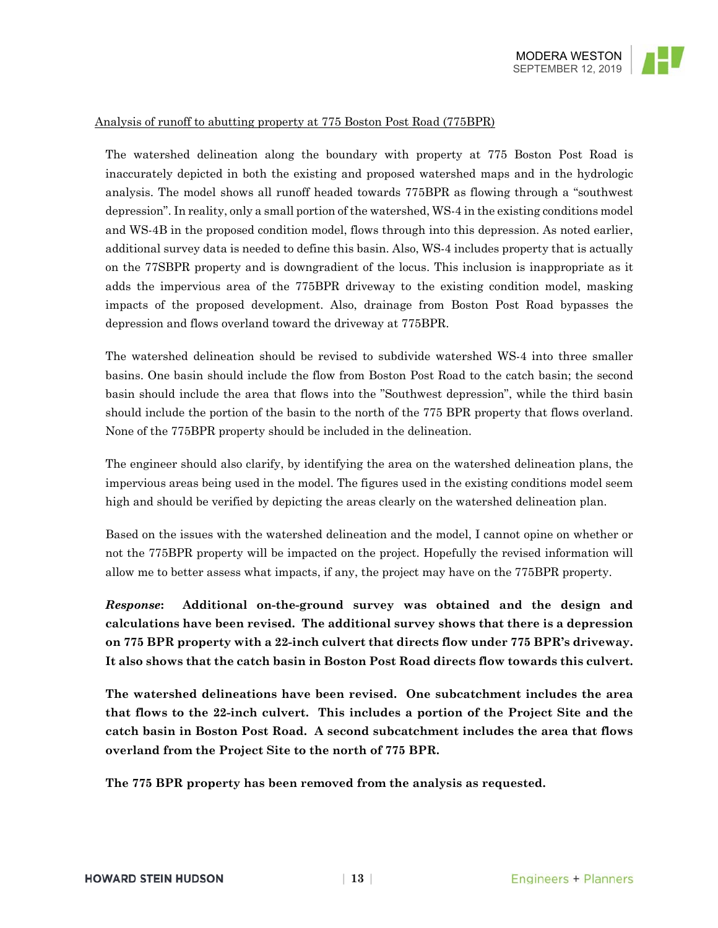

### Analysis of runoff to abutting property at 775 Boston Post Road (775BPR)

The watershed delineation along the boundary with property at 775 Boston Post Road is inaccurately depicted in both the existing and proposed watershed maps and in the hydrologic analysis. The model shows all runoff headed towards 775BPR as flowing through a "southwest depression". In reality, only a small portion of the watershed, WS-4 in the existing conditions model and WS-4B in the proposed condition model, flows through into this depression. As noted earlier, additional survey data is needed to define this basin. Also, WS-4 includes property that is actually on the 77SBPR property and is downgradient of the locus. This inclusion is inappropriate as it adds the impervious area of the 775BPR driveway to the existing condition model, masking impacts of the proposed development. Also, drainage from Boston Post Road bypasses the depression and flows overland toward the driveway at 775BPR.

The watershed delineation should be revised to subdivide watershed WS-4 into three smaller basins. One basin should include the flow from Boston Post Road to the catch basin; the second basin should include the area that flows into the "Southwest depression", while the third basin should include the portion of the basin to the north of the 775 BPR property that flows overland. None of the 775BPR property should be included in the delineation.

The engineer should also clarify, by identifying the area on the watershed delineation plans, the impervious areas being used in the model. The figures used in the existing conditions model seem high and should be verified by depicting the areas clearly on the watershed delineation plan.

Based on the issues with the watershed delineation and the model, I cannot opine on whether or not the 775BPR property will be impacted on the project. Hopefully the revised information will allow me to better assess what impacts, if any, the project may have on the 775BPR property.

*Response***: Additional on-the-ground survey was obtained and the design and calculations have been revised. The additional survey shows that there is a depression on 775 BPR property with a 22-inch culvert that directs flow under 775 BPR's driveway. It also shows that the catch basin in Boston Post Road directs flow towards this culvert.** 

**The watershed delineations have been revised. One subcatchment includes the area that flows to the 22-inch culvert. This includes a portion of the Project Site and the catch basin in Boston Post Road. A second subcatchment includes the area that flows overland from the Project Site to the north of 775 BPR.** 

**The 775 BPR property has been removed from the analysis as requested.**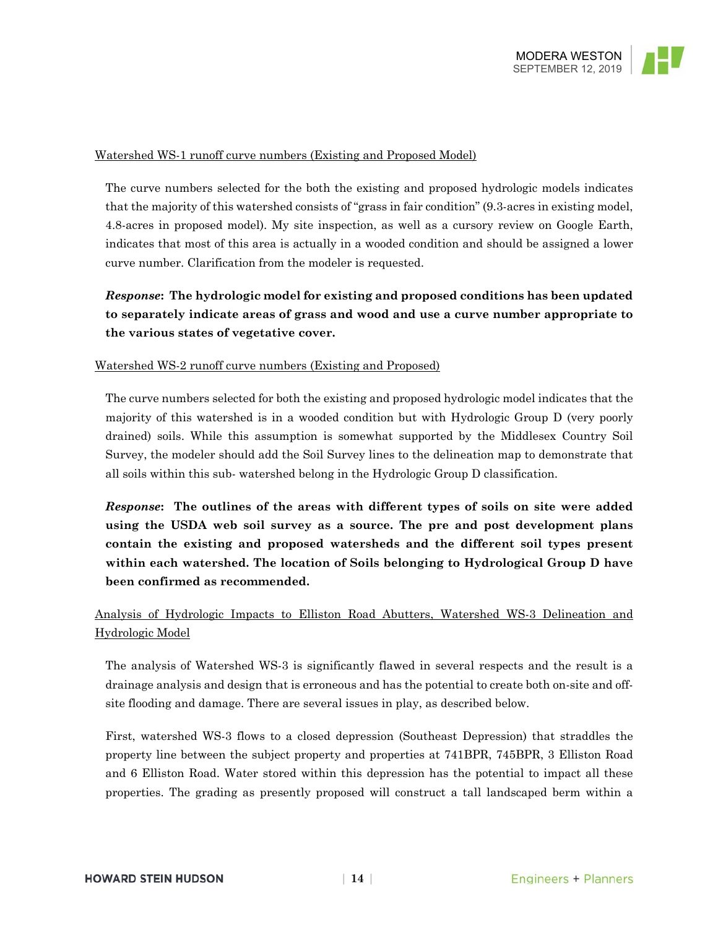

### Watershed WS-1 runoff curve numbers (Existing and Proposed Model)

The curve numbers selected for the both the existing and proposed hydrologic models indicates that the majority of this watershed consists of "grass in fair condition" (9.3-acres in existing model, 4.8-acres in proposed model). My site inspection, as well as a cursory review on Google Earth, indicates that most of this area is actually in a wooded condition and should be assigned a lower curve number. Clarification from the modeler is requested.

# *Response***: The hydrologic model for existing and proposed conditions has been updated to separately indicate areas of grass and wood and use a curve number appropriate to the various states of vegetative cover.**

### Watershed WS-2 runoff curve numbers (Existing and Proposed)

The curve numbers selected for both the existing and proposed hydrologic model indicates that the majority of this watershed is in a wooded condition but with Hydrologic Group D (very poorly drained) soils. While this assumption is somewhat supported by the Middlesex Country Soil Survey, the modeler should add the Soil Survey lines to the delineation map to demonstrate that all soils within this sub- watershed belong in the Hydrologic Group D classification.

*Response***: The outlines of the areas with different types of soils on site were added using the USDA web soil survey as a source. The pre and post development plans contain the existing and proposed watersheds and the different soil types present within each watershed. The location of Soils belonging to Hydrological Group D have been confirmed as recommended.** 

# Analysis of Hydrologic Impacts to Elliston Road Abutters, Watershed WS-3 Delineation and Hydrologic Model

The analysis of Watershed WS-3 is significantly flawed in several respects and the result is a drainage analysis and design that is erroneous and has the potential to create both on-site and offsite flooding and damage. There are several issues in play, as described below.

First, watershed WS-3 flows to a closed depression (Southeast Depression) that straddles the property line between the subject property and properties at 741BPR, 745BPR, 3 Elliston Road and 6 Elliston Road. Water stored within this depression has the potential to impact all these properties. The grading as presently proposed will construct a tall landscaped berm within a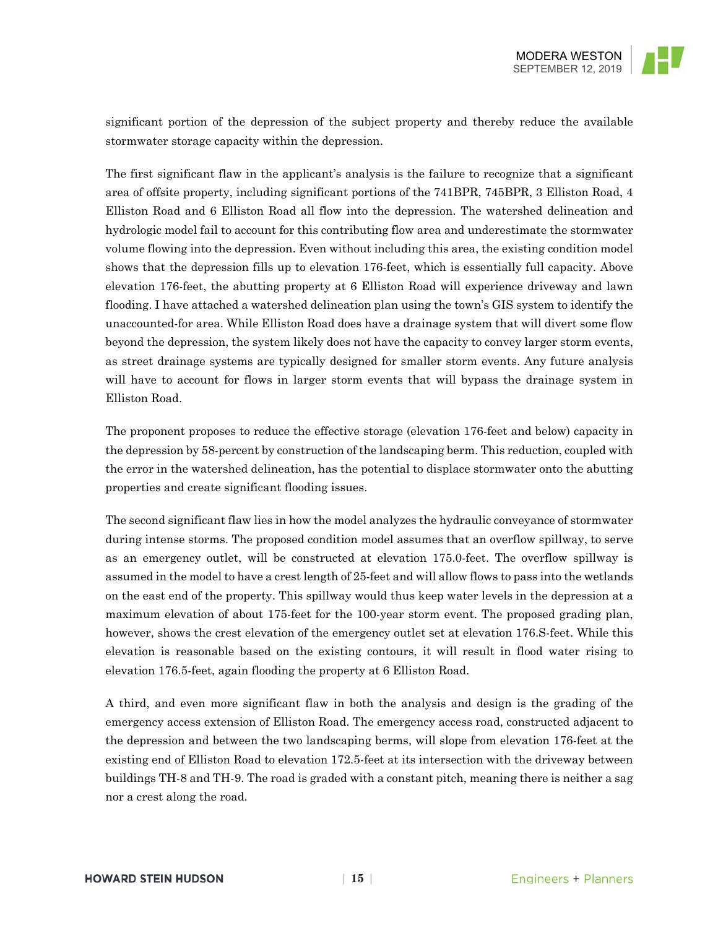significant portion of the depression of the subject property and thereby reduce the available stormwater storage capacity within the depression.

The first significant flaw in the applicant's analysis is the failure to recognize that a significant area of offsite property, including significant portions of the 741BPR, 745BPR, 3 Elliston Road, 4 Elliston Road and 6 Elliston Road all flow into the depression. The watershed delineation and hydrologic model fail to account for this contributing flow area and underestimate the stormwater volume flowing into the depression. Even without including this area, the existing condition model shows that the depression fills up to elevation 176-feet, which is essentially full capacity. Above elevation 176-feet, the abutting property at 6 Elliston Road will experience driveway and lawn flooding. I have attached a watershed delineation plan using the town's GIS system to identify the unaccounted-for area. While Elliston Road does have a drainage system that will divert some flow beyond the depression, the system likely does not have the capacity to convey larger storm events, as street drainage systems are typically designed for smaller storm events. Any future analysis will have to account for flows in larger storm events that will bypass the drainage system in Elliston Road.

The proponent proposes to reduce the effective storage (elevation 176-feet and below) capacity in the depression by 58-percent by construction of the landscaping berm. This reduction, coupled with the error in the watershed delineation, has the potential to displace stormwater onto the abutting properties and create significant flooding issues.

The second significant flaw lies in how the model analyzes the hydraulic conveyance of stormwater during intense storms. The proposed condition model assumes that an overflow spillway, to serve as an emergency outlet, will be constructed at elevation 175.0-feet. The overflow spillway is assumed in the model to have a crest length of 25-feet and will allow flows to pass into the wetlands on the east end of the property. This spillway would thus keep water levels in the depression at a maximum elevation of about 175-feet for the 100-year storm event. The proposed grading plan, however, shows the crest elevation of the emergency outlet set at elevation 176.S-feet. While this elevation is reasonable based on the existing contours, it will result in flood water rising to elevation 176.5-feet, again flooding the property at 6 Elliston Road.

A third, and even more significant flaw in both the analysis and design is the grading of the emergency access extension of Elliston Road. The emergency access road, constructed adjacent to the depression and between the two landscaping berms, will slope from elevation 176-feet at the existing end of Elliston Road to elevation 172.5-feet at its intersection with the driveway between buildings TH-8 and TH-9. The road is graded with a constant pitch, meaning there is neither a sag nor a crest along the road.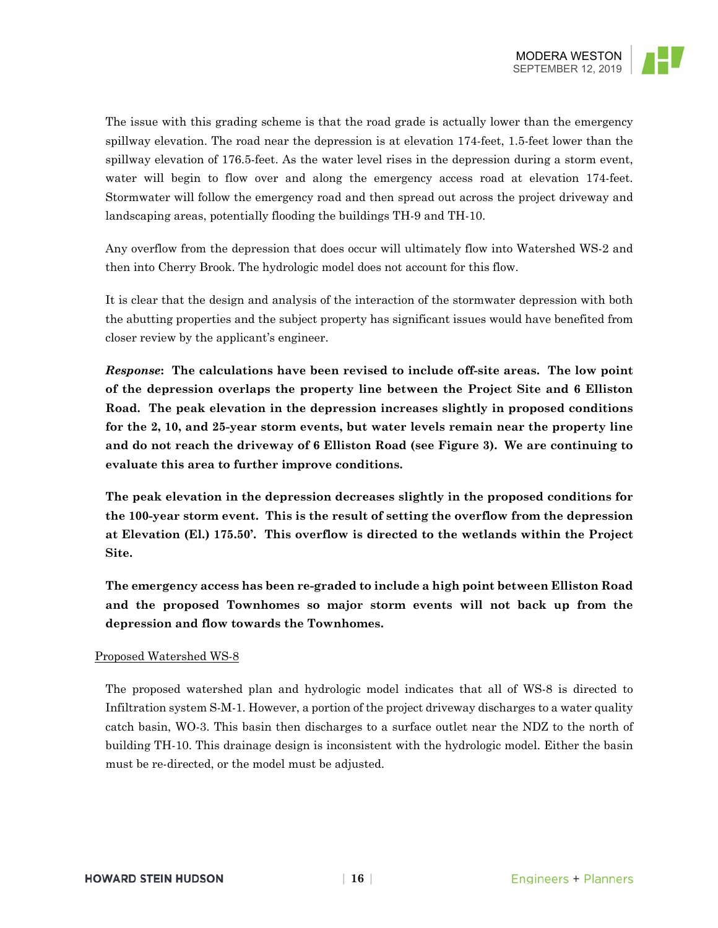

The issue with this grading scheme is that the road grade is actually lower than the emergency spillway elevation. The road near the depression is at elevation 174-feet, 1.5-feet lower than the spillway elevation of 176.5-feet. As the water level rises in the depression during a storm event, water will begin to flow over and along the emergency access road at elevation 174-feet. Stormwater will follow the emergency road and then spread out across the project driveway and landscaping areas, potentially flooding the buildings TH-9 and TH-10.

Any overflow from the depression that does occur will ultimately flow into Watershed WS-2 and then into Cherry Brook. The hydrologic model does not account for this flow.

It is clear that the design and analysis of the interaction of the stormwater depression with both the abutting properties and the subject property has significant issues would have benefited from closer review by the applicant's engineer.

*Response***: The calculations have been revised to include off-site areas. The low point of the depression overlaps the property line between the Project Site and 6 Elliston Road. The peak elevation in the depression increases slightly in proposed conditions for the 2, 10, and 25-year storm events, but water levels remain near the property line and do not reach the driveway of 6 Elliston Road (see Figure 3). We are continuing to evaluate this area to further improve conditions.** 

**The peak elevation in the depression decreases slightly in the proposed conditions for the 100-year storm event. This is the result of setting the overflow from the depression at Elevation (El.) 175.50'. This overflow is directed to the wetlands within the Project Site.** 

**The emergency access has been re-graded to include a high point between Elliston Road and the proposed Townhomes so major storm events will not back up from the depression and flow towards the Townhomes.** 

### Proposed Watershed WS-8

The proposed watershed plan and hydrologic model indicates that all of WS-8 is directed to Infiltration system S-M-1. However, a portion of the project driveway discharges to a water quality catch basin, WO-3. This basin then discharges to a surface outlet near the NDZ to the north of building TH-10. This drainage design is inconsistent with the hydrologic model. Either the basin must be re-directed, or the model must be adjusted.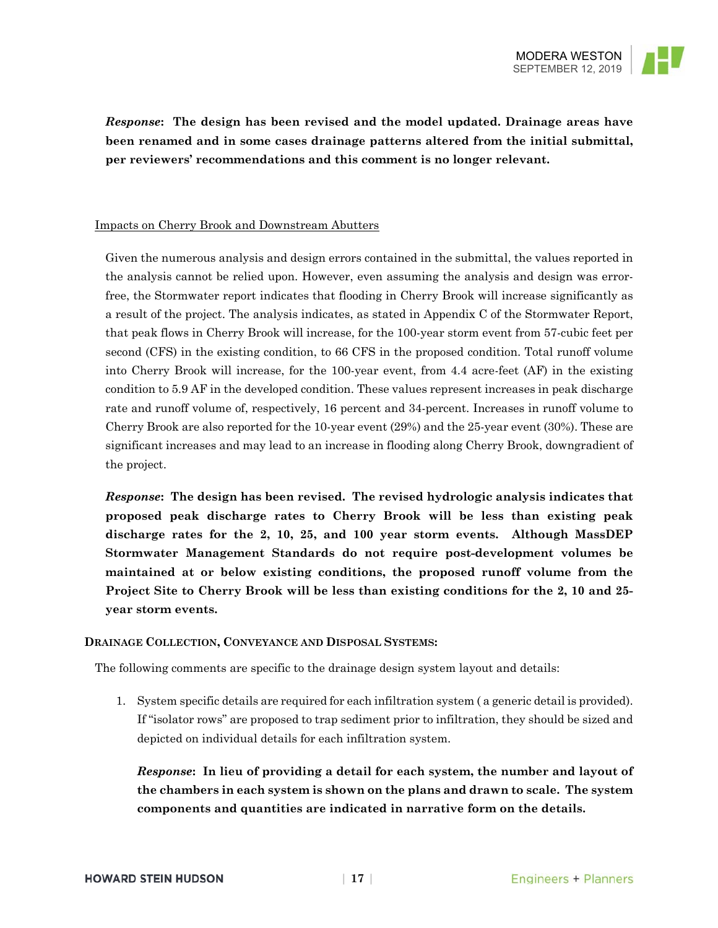

*Response***: The design has been revised and the model updated. Drainage areas have been renamed and in some cases drainage patterns altered from the initial submittal, per reviewers' recommendations and this comment is no longer relevant.** 

### Impacts on Cherry Brook and Downstream Abutters

Given the numerous analysis and design errors contained in the submittal, the values reported in the analysis cannot be relied upon. However, even assuming the analysis and design was errorfree, the Stormwater report indicates that flooding in Cherry Brook will increase significantly as a result of the project. The analysis indicates, as stated in Appendix C of the Stormwater Report, that peak flows in Cherry Brook will increase, for the 100-year storm event from 57-cubic feet per second (CFS) in the existing condition, to 66 CFS in the proposed condition. Total runoff volume into Cherry Brook will increase, for the 100-year event, from 4.4 acre-feet (AF) in the existing condition to 5.9 AF in the developed condition. These values represent increases in peak discharge rate and runoff volume of, respectively, 16 percent and 34-percent. Increases in runoff volume to Cherry Brook are also reported for the 10-year event (29%) and the 25-year event (30%). These are significant increases and may lead to an increase in flooding along Cherry Brook, downgradient of the project.

*Response***: The design has been revised. The revised hydrologic analysis indicates that proposed peak discharge rates to Cherry Brook will be less than existing peak discharge rates for the 2, 10, 25, and 100 year storm events. Although MassDEP Stormwater Management Standards do not require post-development volumes be maintained at or below existing conditions, the proposed runoff volume from the Project Site to Cherry Brook will be less than existing conditions for the 2, 10 and 25 year storm events.** 

### **DRAINAGE COLLECTION, CONVEYANCE AND DISPOSAL SYSTEMS:**

The following comments are specific to the drainage design system layout and details:

1. System specific details are required for each infiltration system ( a generic detail is provided). If "isolator rows" are proposed to trap sediment prior to infiltration, they should be sized and depicted on individual details for each infiltration system.

*Response***: In lieu of providing a detail for each system, the number and layout of the chambers in each system is shown on the plans and drawn to scale. The system components and quantities are indicated in narrative form on the details.**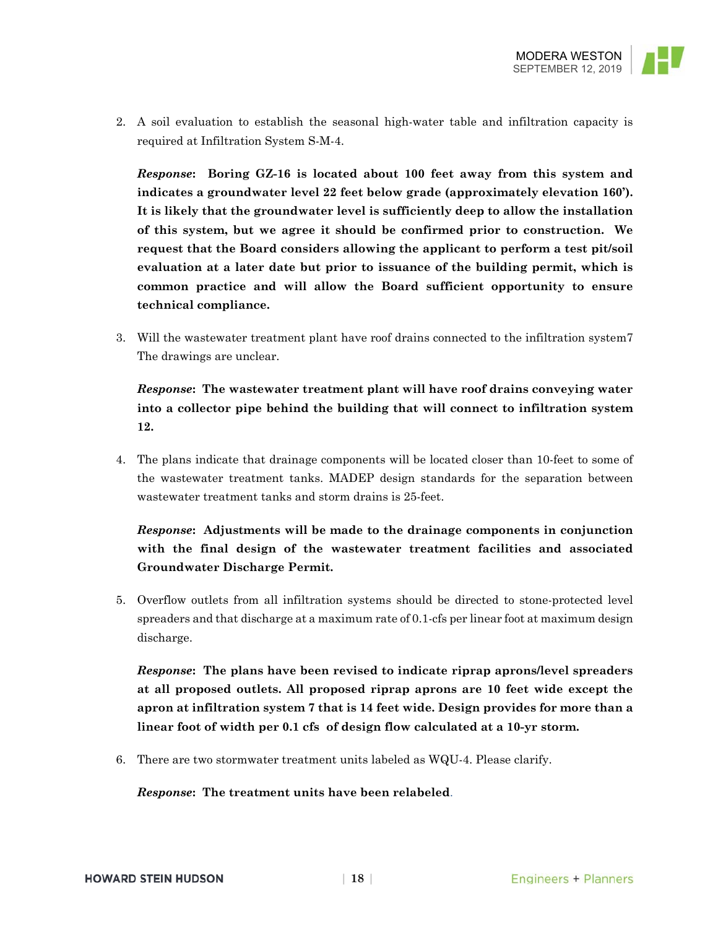

2. A soil evaluation to establish the seasonal high-water table and infiltration capacity is required at Infiltration System S-M-4.

*Response***: Boring GZ-16 is located about 100 feet away from this system and indicates a groundwater level 22 feet below grade (approximately elevation 160'). It is likely that the groundwater level is sufficiently deep to allow the installation of this system, but we agree it should be confirmed prior to construction. We request that the Board considers allowing the applicant to perform a test pit/soil evaluation at a later date but prior to issuance of the building permit, which is common practice and will allow the Board sufficient opportunity to ensure technical compliance.**

3. Will the wastewater treatment plant have roof drains connected to the infiltration system7 The drawings are unclear.

*Response***: The wastewater treatment plant will have roof drains conveying water into a collector pipe behind the building that will connect to infiltration system 12.**

4. The plans indicate that drainage components will be located closer than 10-feet to some of the wastewater treatment tanks. MADEP design standards for the separation between wastewater treatment tanks and storm drains is 25-feet.

# *Response***: Adjustments will be made to the drainage components in conjunction with the final design of the wastewater treatment facilities and associated Groundwater Discharge Permit.**

5. Overflow outlets from all infiltration systems should be directed to stone-protected level spreaders and that discharge at a maximum rate of 0.1-cfs per linear foot at maximum design discharge.

*Response***: The plans have been revised to indicate riprap aprons/level spreaders at all proposed outlets. All proposed riprap aprons are 10 feet wide except the apron at infiltration system 7 that is 14 feet wide. Design provides for more than a linear foot of width per 0.1 cfs of design flow calculated at a 10-yr storm.** 

6. There are two stormwater treatment units labeled as WQU-4. Please clarify.

*Response***: The treatment units have been relabeled**.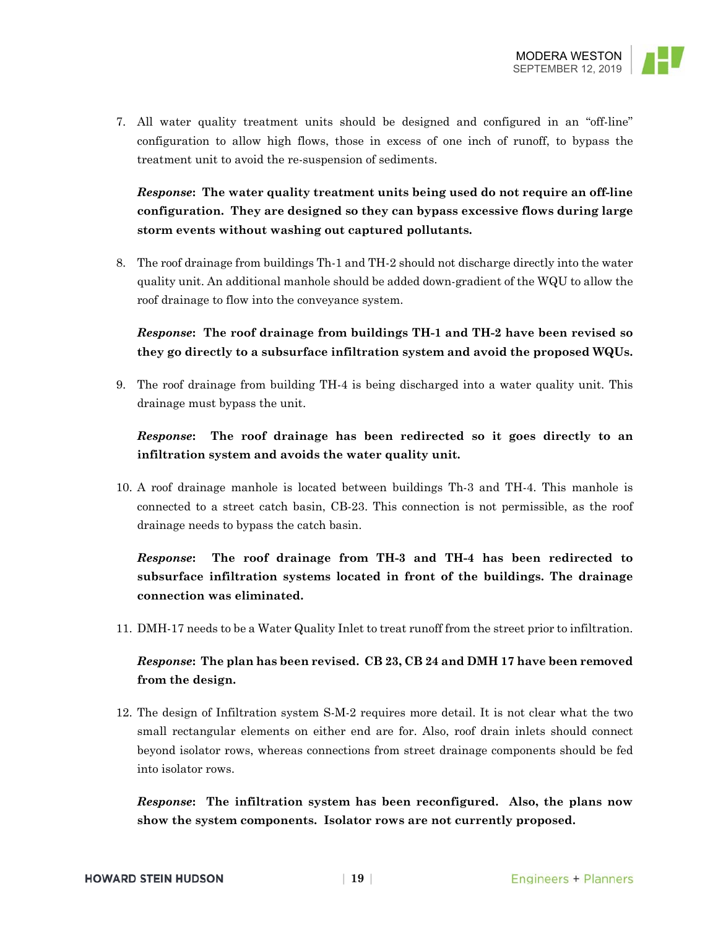

7. All water quality treatment units should be designed and configured in an "off-line" configuration to allow high flows, those in excess of one inch of runoff, to bypass the treatment unit to avoid the re-suspension of sediments.

# *Response***: The water quality treatment units being used do not require an off-line configuration. They are designed so they can bypass excessive flows during large storm events without washing out captured pollutants.**

8. The roof drainage from buildings Th-1 and TH-2 should not discharge directly into the water quality unit. An additional manhole should be added down-gradient of the WQU to allow the roof drainage to flow into the conveyance system.

# *Response***: The roof drainage from buildings TH-1 and TH-2 have been revised so they go directly to a subsurface infiltration system and avoid the proposed WQUs.**

9. The roof drainage from building TH-4 is being discharged into a water quality unit. This drainage must bypass the unit.

# *Response***: The roof drainage has been redirected so it goes directly to an infiltration system and avoids the water quality unit.**

10. A roof drainage manhole is located between buildings Th-3 and TH-4. This manhole is connected to a street catch basin, CB-23. This connection is not permissible, as the roof drainage needs to bypass the catch basin.

# *Response***: The roof drainage from TH-3 and TH-4 has been redirected to subsurface infiltration systems located in front of the buildings. The drainage connection was eliminated.**

11. DMH-17 needs to be a Water Quality Inlet to treat runoff from the street prior to infiltration.

## *Response***: The plan has been revised. CB 23, CB 24 and DMH 17 have been removed from the design.**

12. The design of Infiltration system S-M-2 requires more detail. It is not clear what the two small rectangular elements on either end are for. Also, roof drain inlets should connect beyond isolator rows, whereas connections from street drainage components should be fed into isolator rows.

*Response***: The infiltration system has been reconfigured. Also, the plans now show the system components. Isolator rows are not currently proposed.**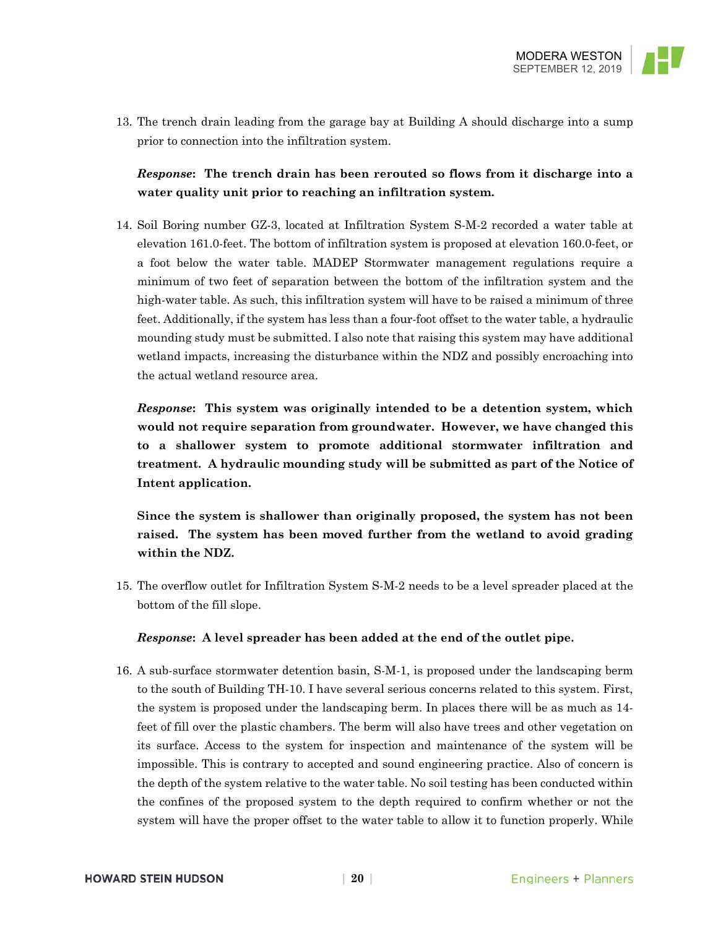

13. The trench drain leading from the garage bay at Building A should discharge into a sump prior to connection into the infiltration system.

*Response***: The trench drain has been rerouted so flows from it discharge into a water quality unit prior to reaching an infiltration system.** 

14. Soil Boring number GZ-3, located at Infiltration System S-M-2 recorded a water table at elevation 161.0-feet. The bottom of infiltration system is proposed at elevation 160.0-feet, or a foot below the water table. MADEP Stormwater management regulations require a minimum of two feet of separation between the bottom of the infiltration system and the high-water table. As such, this infiltration system will have to be raised a minimum of three feet. Additionally, if the system has less than a four-foot offset to the water table, a hydraulic mounding study must be submitted. I also note that raising this system may have additional wetland impacts, increasing the disturbance within the NDZ and possibly encroaching into the actual wetland resource area.

*Response***: This system was originally intended to be a detention system, which would not require separation from groundwater. However, we have changed this to a shallower system to promote additional stormwater infiltration and treatment. A hydraulic mounding study will be submitted as part of the Notice of Intent application.** 

**Since the system is shallower than originally proposed, the system has not been raised. The system has been moved further from the wetland to avoid grading within the NDZ.** 

15. The overflow outlet for Infiltration System S-M-2 needs to be a level spreader placed at the bottom of the fill slope.

*Response***: A level spreader has been added at the end of the outlet pipe.** 

16. A sub-surface stormwater detention basin, S-M-1, is proposed under the landscaping berm to the south of Building TH-10. I have several serious concerns related to this system. First, the system is proposed under the landscaping berm. In places there will be as much as 14 feet of fill over the plastic chambers. The berm will also have trees and other vegetation on its surface. Access to the system for inspection and maintenance of the system will be impossible. This is contrary to accepted and sound engineering practice. Also of concern is the depth of the system relative to the water table. No soil testing has been conducted within the confines of the proposed system to the depth required to confirm whether or not the system will have the proper offset to the water table to allow it to function properly. While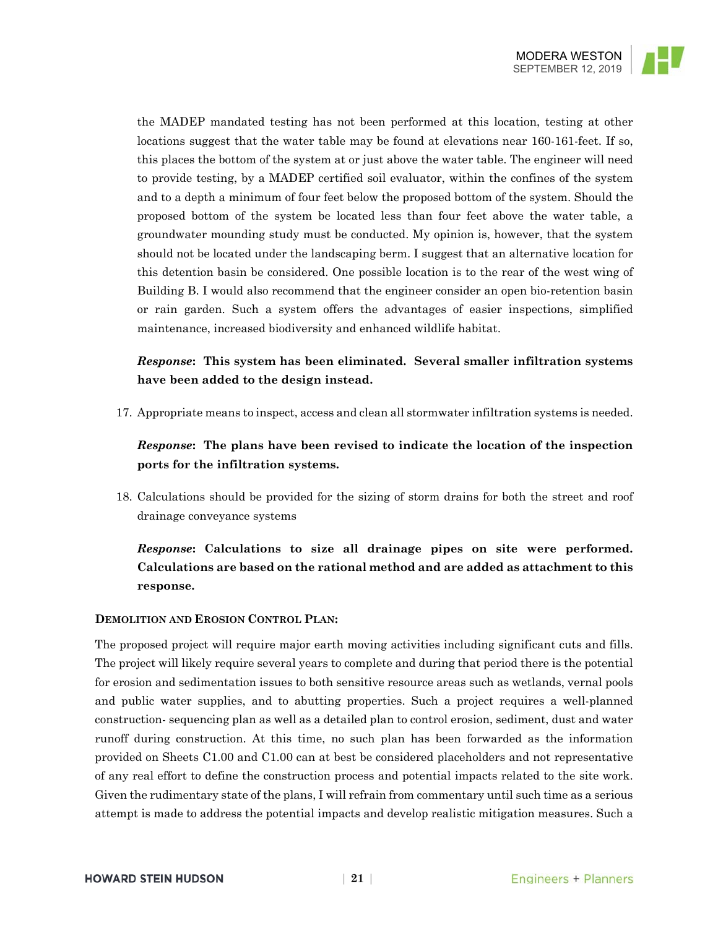

the MADEP mandated testing has not been performed at this location, testing at other locations suggest that the water table may be found at elevations near 160-161-feet. If so, this places the bottom of the system at or just above the water table. The engineer will need to provide testing, by a MADEP certified soil evaluator, within the confines of the system and to a depth a minimum of four feet below the proposed bottom of the system. Should the proposed bottom of the system be located less than four feet above the water table, a groundwater mounding study must be conducted. My opinion is, however, that the system should not be located under the landscaping berm. I suggest that an alternative location for this detention basin be considered. One possible location is to the rear of the west wing of Building B. I would also recommend that the engineer consider an open bio-retention basin or rain garden. Such a system offers the advantages of easier inspections, simplified maintenance, increased biodiversity and enhanced wildlife habitat.

# *Response***: This system has been eliminated. Several smaller infiltration systems have been added to the design instead.**

17. Appropriate means to inspect, access and clean all stormwater infiltration systems is needed.

# *Response***: The plans have been revised to indicate the location of the inspection ports for the infiltration systems.**

18. Calculations should be provided for the sizing of storm drains for both the street and roof drainage conveyance systems

*Response***: Calculations to size all drainage pipes on site were performed. Calculations are based on the rational method and are added as attachment to this response.** 

### **DEMOLITION AND EROSION CONTROL PLAN:**

The proposed project will require major earth moving activities including significant cuts and fills. The project will likely require several years to complete and during that period there is the potential for erosion and sedimentation issues to both sensitive resource areas such as wetlands, vernal pools and public water supplies, and to abutting properties. Such a project requires a well-planned construction- sequencing plan as well as a detailed plan to control erosion, sediment, dust and water runoff during construction. At this time, no such plan has been forwarded as the information provided on Sheets C1.00 and C1.00 can at best be considered placeholders and not representative of any real effort to define the construction process and potential impacts related to the site work. Given the rudimentary state of the plans, I will refrain from commentary until such time as a serious attempt is made to address the potential impacts and develop realistic mitigation measures. Such a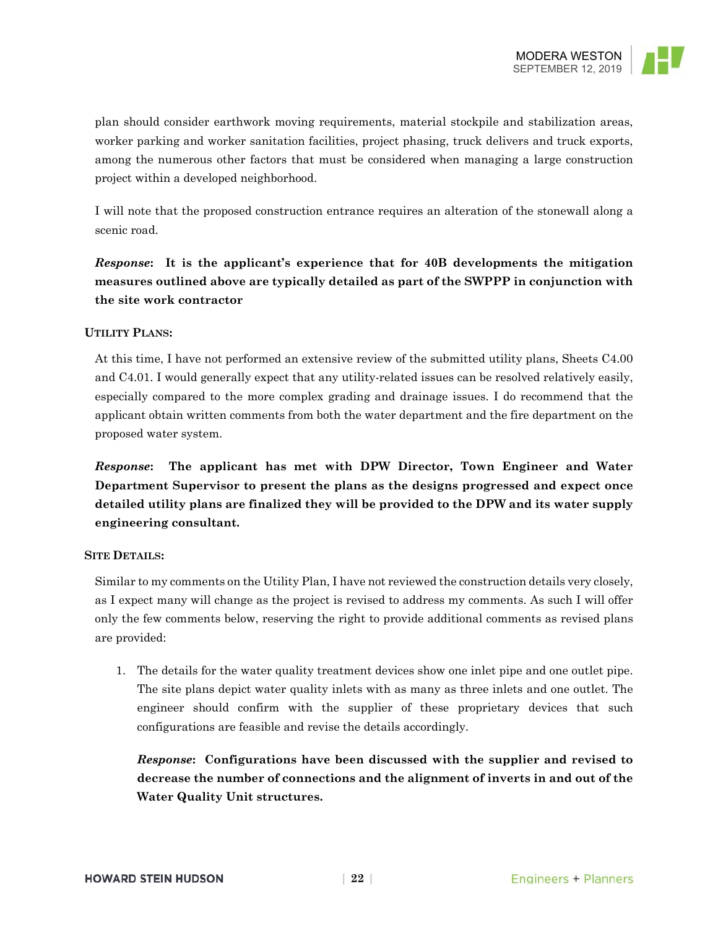

plan should consider earthwork moving requirements, material stockpile and stabilization areas, worker parking and worker sanitation facilities, project phasing, truck delivers and truck exports, among the numerous other factors that must be considered when managing a large construction project within a developed neighborhood.

I will note that the proposed construction entrance requires an alteration of the stonewall along a scenic road.

*Response***: It is the applicant's experience that for 40B developments the mitigation measures outlined above are typically detailed as part of the SWPPP in conjunction with the site work contractor** 

### **UTILITY PLANS:**

At this time, I have not performed an extensive review of the submitted utility plans, Sheets C4.00 and C4.01. I would generally expect that any utility-related issues can be resolved relatively easily, especially compared to the more complex grading and drainage issues. I do recommend that the applicant obtain written comments from both the water department and the fire department on the proposed water system.

*Response***: The applicant has met with DPW Director, Town Engineer and Water Department Supervisor to present the plans as the designs progressed and expect once detailed utility plans are finalized they will be provided to the DPW and its water supply engineering consultant.** 

#### **SITE DETAILS:**

Similar to my comments on the Utility Plan, I have not reviewed the construction details very closely, as I expect many will change as the project is revised to address my comments. As such I will offer only the few comments below, reserving the right to provide additional comments as revised plans are provided:

1. The details for the water quality treatment devices show one inlet pipe and one outlet pipe. The site plans depict water quality inlets with as many as three inlets and one outlet. The engineer should confirm with the supplier of these proprietary devices that such configurations are feasible and revise the details accordingly.

*Response***: Configurations have been discussed with the supplier and revised to decrease the number of connections and the alignment of inverts in and out of the Water Quality Unit structures.**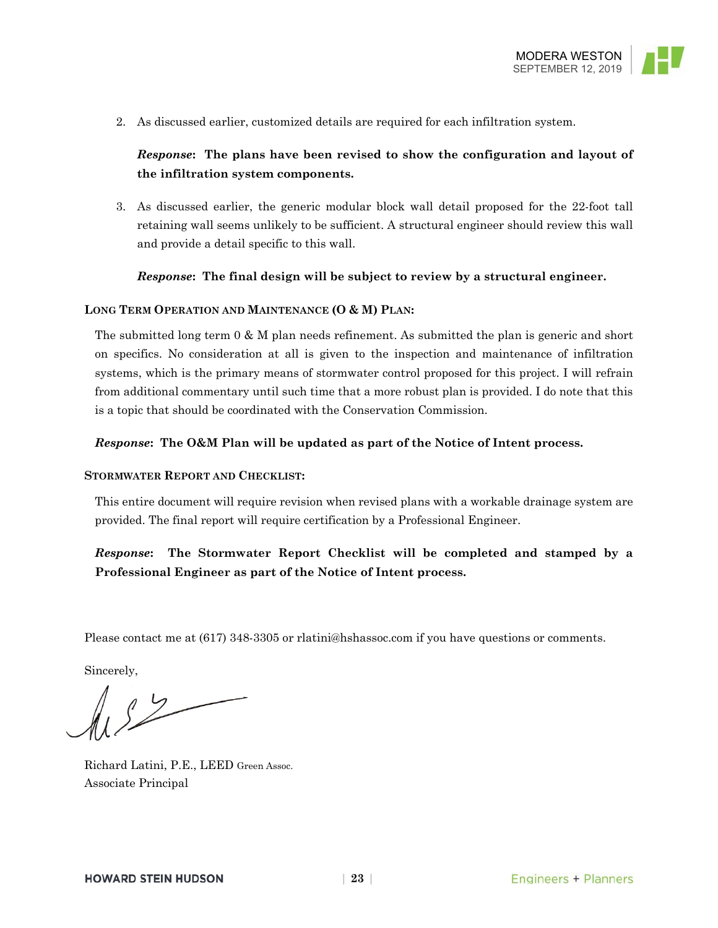

2. As discussed earlier, customized details are required for each infiltration system.

### *Response***: The plans have been revised to show the configuration and layout of the infiltration system components.**

3. As discussed earlier, the generic modular block wall detail proposed for the 22-foot tall retaining wall seems unlikely to be sufficient. A structural engineer should review this wall and provide a detail specific to this wall.

### *Response***: The final design will be subject to review by a structural engineer.**

### **LONG TERM OPERATION AND MAINTENANCE (O & M) PLAN:**

The submitted long term 0 & M plan needs refinement. As submitted the plan is generic and short on specifics. No consideration at all is given to the inspection and maintenance of infiltration systems, which is the primary means of stormwater control proposed for this project. I will refrain from additional commentary until such time that a more robust plan is provided. I do note that this is a topic that should be coordinated with the Conservation Commission.

#### *Response***: The O&M Plan will be updated as part of the Notice of Intent process.**

#### **STORMWATER REPORT AND CHECKLIST:**

This entire document will require revision when revised plans with a workable drainage system are provided. The final report will require certification by a Professional Engineer.

*Response***: The Stormwater Report Checklist will be completed and stamped by a Professional Engineer as part of the Notice of Intent process.** 

Please contact me at (617) 348-3305 or rlatini@hshassoc.com if you have questions or comments.

Sincerely,

Richard Latini, P.E., LEED Green Assoc. Associate Principal